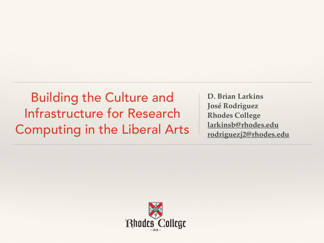Building the Culture and Infrastructure for Research Computing in the Liberal Arts

**D. Brian Larkins José Rodriguez Rhodes College [larkinsb@rhodes.edu](mailto:larkinsb@rhodes.edu) [rodriguezj2@rhodes.edu](mailto:rodriguezj2@rhodes.edu)**

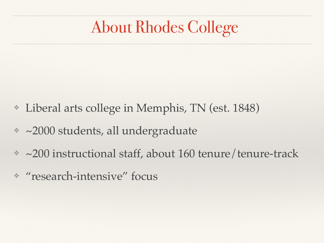# About Rhodes College

- ❖ Liberal arts college in Memphis, TN (est. 1848)
- ❖ ~2000 students, all undergraduate
- ❖ ~200 instructional staff, about 160 tenure/tenure-track
- ❖ "research-intensive" focus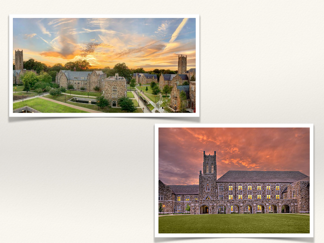

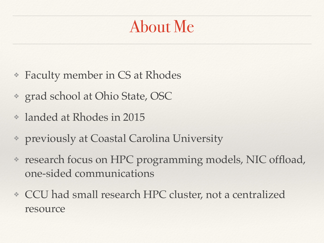#### About Me

- ❖ Faculty member in CS at Rhodes
- ❖ grad school at Ohio State, OSC
- ❖ landed at Rhodes in 2015
- ❖ previously at Coastal Carolina University
- ❖ research focus on HPC programming models, NIC offload, one-sided communications
- ❖ CCU had small research HPC cluster, not a centralized resource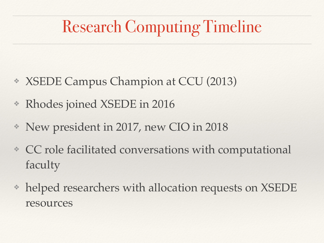### Research Computing Timeline

- ❖ XSEDE Campus Champion at CCU (2013)
- ❖ Rhodes joined XSEDE in 2016
- ❖ New president in 2017, new CIO in 2018
- ❖ CC role facilitated conversations with computational faculty
- ❖ helped researchers with allocation requests on XSEDE resources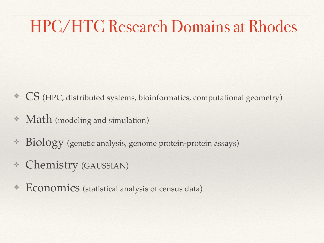#### HPC/HTC Research Domains at Rhodes

- ❖ CS (HPC, distributed systems, bioinformatics, computational geometry)
- ❖ Math (modeling and simulation)
- ❖ Biology (genetic analysis, genome protein-protein assays)
- ❖ Chemistry (GAUSSIAN)
- ❖ Economics (statistical analysis of census data)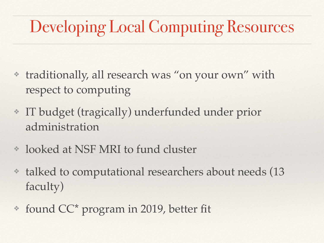### Developing Local Computing Resources

- ❖ traditionally, all research was "on your own" with respect to computing
- ❖ IT budget (tragically) underfunded under prior administration
- ❖ looked at NSF MRI to fund cluster
- ❖ talked to computational researchers about needs (13 faculty)
- ❖ found CC\* program in 2019, better fit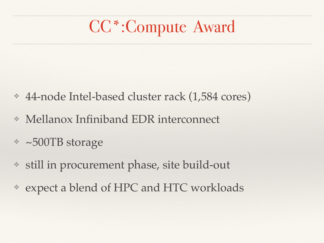### CC\*:Compute Award

- ❖ 44-node Intel-based cluster rack (1,584 cores)
- ❖ Mellanox Infiniband EDR interconnect
- ❖ ~500TB storage
- ❖ still in procurement phase, site build-out
- ❖ expect a blend of HPC and HTC workloads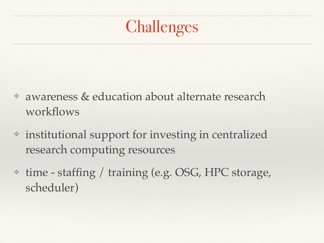

- ❖ awareness & education about alternate research workflows
- ❖ institutional support for investing in centralized research computing resources
- ❖ time staffing / training (e.g. OSG, HPC storage, scheduler)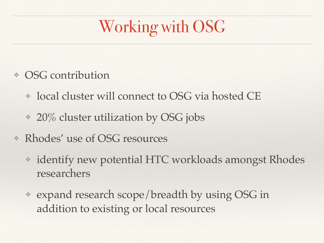## Working with OSG

- OSG contribution
	- ❖ local cluster will connect to OSG via hosted CE
	- ❖ 20% cluster utilization by OSG jobs
- ❖ Rhodes' use of OSG resources
	- ❖ identify new potential HTC workloads amongst Rhodes researchers
	- ❖ expand research scope/breadth by using OSG in addition to existing or local resources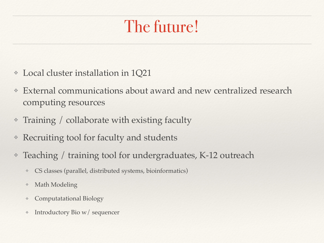#### The future!

- ❖ Local cluster installation in 1Q21
- ❖ External communications about award and new centralized research computing resources
- ❖ Training / collaborate with existing faculty
- ❖ Recruiting tool for faculty and students
- ❖ Teaching / training tool for undergraduates, K-12 outreach
	- ❖ CS classes (parallel, distributed systems, bioinformatics)
	- ❖ Math Modeling
	- ❖ Computatational Biology
	- ❖ Introductory Bio w/ sequencer